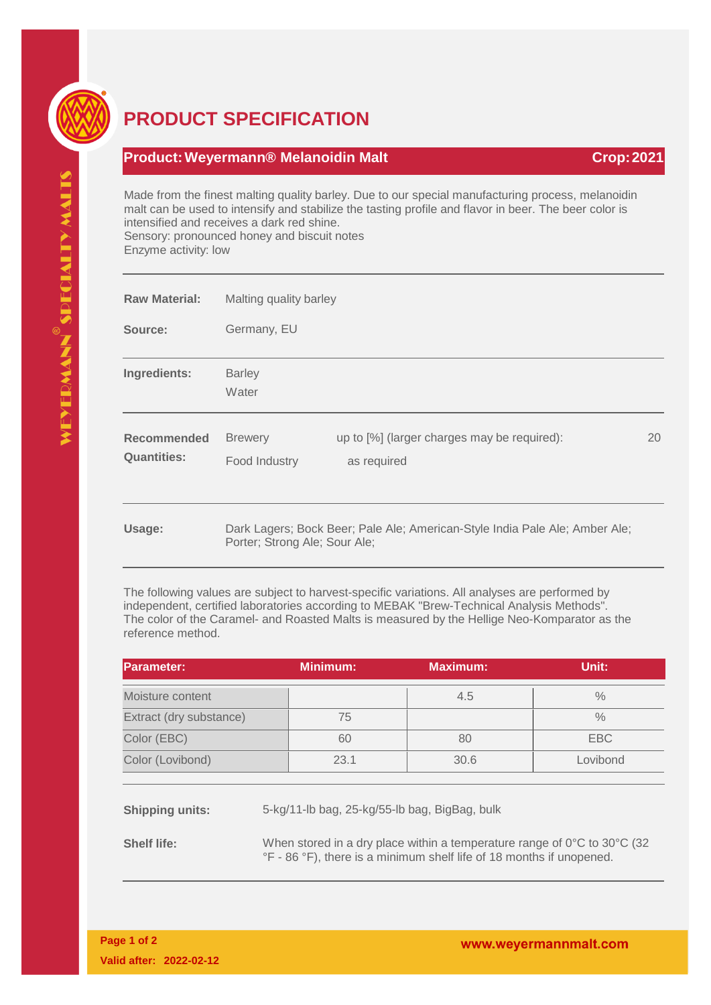

## **PRODUCT SPECIFICATION**

## **Product:Weyermann® Melanoidin Malt Crop:2021**

Made from the finest malting quality barley. Due to our special manufacturing process, melanoidin malt can be used to intensify and stabilize the tasting profile and flavor in beer. The beer color is intensified and receives a dark red shine. Sensory: pronounced honey and biscuit notes Enzyme activity: low

| <b>Raw Material:</b>                     | Malting quality barley                                                                                       |                                                            |    |  |
|------------------------------------------|--------------------------------------------------------------------------------------------------------------|------------------------------------------------------------|----|--|
| Source:                                  | Germany, EU                                                                                                  |                                                            |    |  |
| Ingredients:                             | <b>Barley</b><br>Water                                                                                       |                                                            |    |  |
| <b>Recommended</b><br><b>Quantities:</b> | <b>Brewery</b><br>Food Industry                                                                              | up to [%] (larger charges may be required):<br>as required | 20 |  |
| Usage:                                   | Dark Lagers; Bock Beer; Pale Ale; American-Style India Pale Ale; Amber Ale;<br>Porter; Strong Ale; Sour Ale; |                                                            |    |  |

The following values are subject to harvest-specific variations. All analyses are performed by independent, certified laboratories according to MEBAK "Brew-Technical Analysis Methods". The color of the Caramel- and Roasted Malts is measured by the Hellige Neo-Komparator as the reference method.

| <b>Parameter:</b>       | <b>Minimum:</b> | <b>Maximum:</b> | Unit:         |
|-------------------------|-----------------|-----------------|---------------|
| Moisture content        |                 | 4.5             | $\frac{0}{0}$ |
| Extract (dry substance) | 75              |                 | $\frac{0}{0}$ |
| Color (EBC)             | 60              | 80              | EBC           |
| Color (Lovibond)        | 23.1            | 30.6            | Lovibond      |

**Shipping units:** 5-kg/11-lb bag, 25-kg/55-lb bag, BigBag, bulk

**Shelf life:** When stored in a dry place within a temperature range of 0°C to 30°C (32) °F - 86 °F), there is a minimum shelf life of 18 months if unopened.